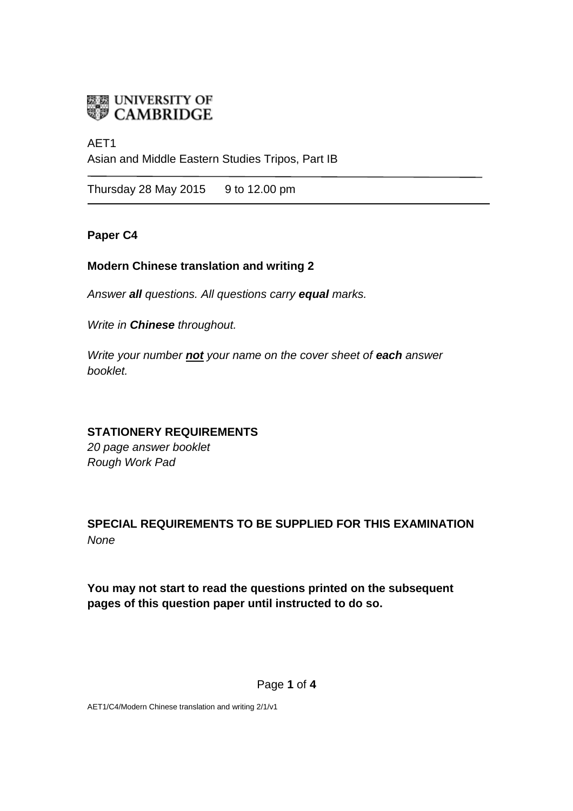

## AET1 Asian and Middle Eastern Studies Tripos, Part IB

Thursday 28 May 2015  $\qquad$  9 to 12.00 pm

### **Paper C4**

### **Modern Chinese translation and writing 2**

*Answer all questions. All questions carry equal marks.*

*Write in Chinese throughout.*

*Write your number not your name on the cover sheet of each answer booklet.* 

### **STATIONERY REQUIREMENTS**

*20 page answer booklet Rough Work Pad*

## **SPECIAL REQUIREMENTS TO BE SUPPLIED FOR THIS EXAMINATION** *None*

**You may not start to read the questions printed on the subsequent pages of this question paper until instructed to do so.**

Page **1** of **4**

AET1/C4/Modern Chinese translation and writing 2/1/v1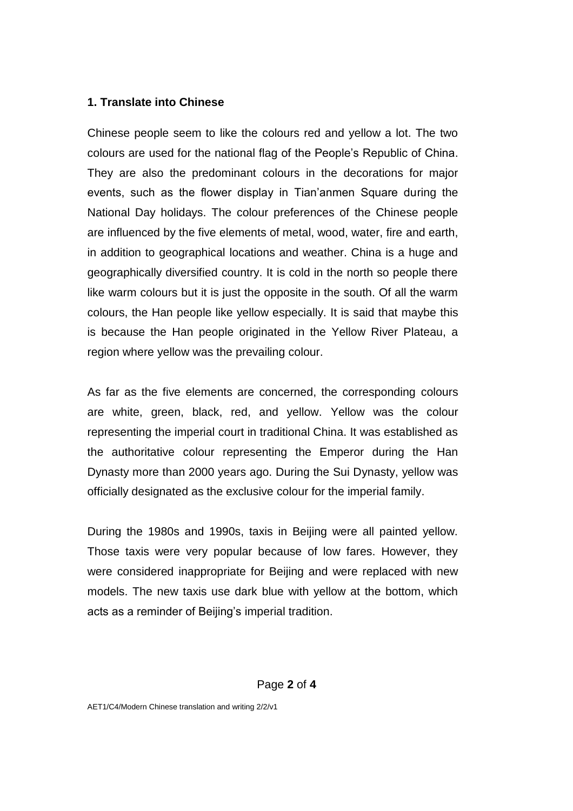#### **1. Translate into Chinese**

Chinese people seem to like the colours red and yellow a lot. The two colours are used for the national flag of the People's Republic of China. They are also the predominant colours in the decorations for major events, such as the flower display in Tian'anmen Square during the National Day holidays. The colour preferences of the Chinese people are influenced by the five elements of metal, wood, water, fire and earth, in addition to geographical locations and weather. China is a huge and geographically diversified country. It is cold in the north so people there like warm colours but it is just the opposite in the south. Of all the warm colours, the Han people like yellow especially. It is said that maybe this is because the Han people originated in the Yellow River Plateau, a region where yellow was the prevailing colour.

As far as the five elements are concerned, the corresponding colours are white, green, black, red, and yellow. Yellow was the colour representing the imperial court in traditional China. It was established as the authoritative colour representing the Emperor during the Han Dynasty more than 2000 years ago. During the Sui Dynasty, yellow was officially designated as the exclusive colour for the imperial family.

During the 1980s and 1990s, taxis in Beijing were all painted yellow. Those taxis were very popular because of low fares. However, they were considered inappropriate for Beijing and were replaced with new models. The new taxis use dark blue with yellow at the bottom, which acts as a reminder of Beijing's imperial tradition.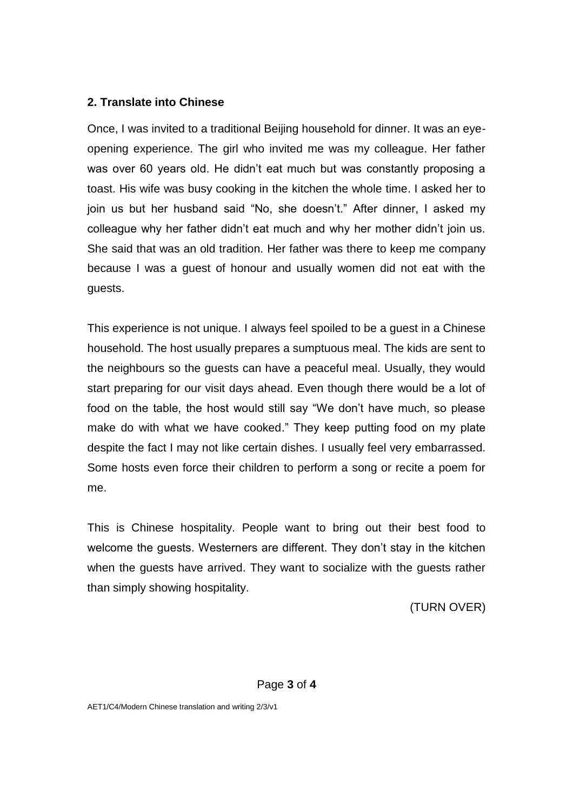### **2. Translate into Chinese**

Once, I was invited to a traditional Beijing household for dinner. It was an eyeopening experience. The girl who invited me was my colleague. Her father was over 60 years old. He didn't eat much but was constantly proposing a toast. His wife was busy cooking in the kitchen the whole time. I asked her to join us but her husband said "No, she doesn't." After dinner, I asked my colleague why her father didn't eat much and why her mother didn't join us. She said that was an old tradition. Her father was there to keep me company because I was a guest of honour and usually women did not eat with the guests.

This experience is not unique. I always feel spoiled to be a guest in a Chinese household. The host usually prepares a sumptuous meal. The kids are sent to the neighbours so the guests can have a peaceful meal. Usually, they would start preparing for our visit days ahead. Even though there would be a lot of food on the table, the host would still say "We don't have much, so please make do with what we have cooked." They keep putting food on my plate despite the fact I may not like certain dishes. I usually feel very embarrassed. Some hosts even force their children to perform a song or recite a poem for me.

This is Chinese hospitality. People want to bring out their best food to welcome the guests. Westerners are different. They don't stay in the kitchen when the guests have arrived. They want to socialize with the guests rather than simply showing hospitality.

(TURN OVER)